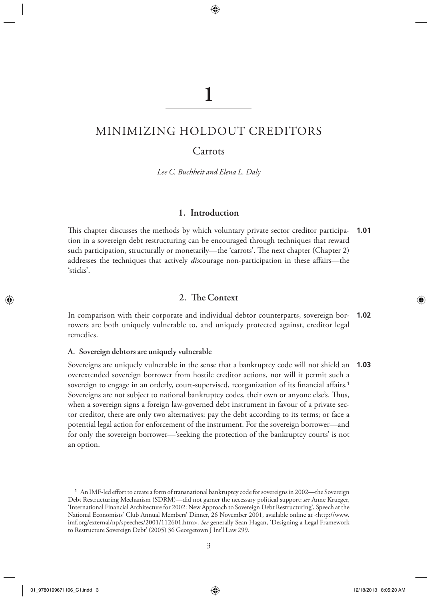# **1**

◈

# MINIMIZING HOLDOUT CREDITORS

# Carrots

 *Lee C. Buchheit and Elena L. Daly* 

# **1. Introduction**

This chapter discusses the methods by which voluntary private sector creditor participation in a sovereign debt restructuring can be encouraged through techniques that reward such participation, structurally or monetarily—the 'carrots'. The next chapter (Chapter 2) addresses the techniques that actively *dis*courage non-participation in these affairs—the 'sticks'. **1.01**

# **2. T e Context**

 In comparison with their corporate and individual debtor counterparts, sovereign bor-**1.02** rowers are both uniquely vulnerable to, and uniquely protected against, creditor legal remedies.

#### **A. Sovereign debtors are uniquely vulnerable**

 Sovereigns are uniquely vulnerable in the sense that a bankruptcy code will not shield an **1.03** overextended sovereign borrower from hostile creditor actions, nor will it permit such a sovereign to engage in an orderly, court-supervised, reorganization of its financial affairs.<sup>1</sup> Sovereigns are not subject to national bankruptcy codes, their own or anyone else's. Thus, when a sovereign signs a foreign law-governed debt instrument in favour of a private sector creditor, there are only two alternatives: pay the debt according to its terms; or face a potential legal action for enforcement of the instrument. For the sovereign borrower—and for only the sovereign borrower—'seeking the protection of the bankruptcy courts' is not an option.

◈

<sup>&</sup>lt;sup>1</sup> An IMF-led effort to create a form of transnational bankruptcy code for sovereigns in 2002—the Sovereign Debt Restructuring Mechanism (SDRM)—did not garner the necessary political support: *see* Anne Krueger, 'International Financial Architecture for 2002: New Approach to Sovereign Debt Restructuring', Speech at the National Economists' Club Annual Members' Dinner, 26 November 2001, available online at < http://www. imf.org/external/np/speeches/2001/112601.htm >. *See* generally Sean Hagan, 'Designing a Legal Framework to Restructure Sovereign Debt' (2005) 36 Georgetown J Int'l Law 299.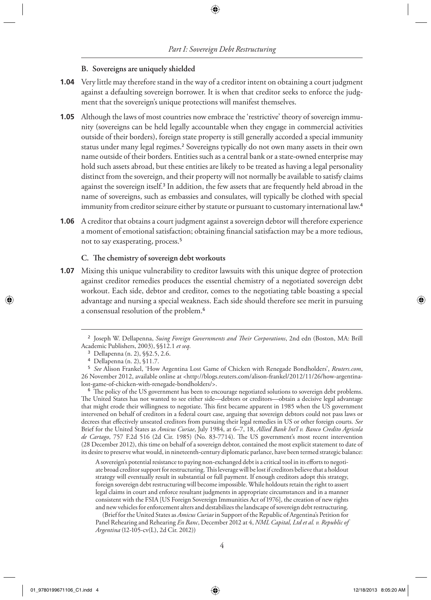#### **B. Sovereigns are uniquely shielded**

- **1.04** Very little may therefore stand in the way of a creditor intent on obtaining a court judgment against a defaulting sovereign borrower. It is when that creditor seeks to enforce the judgment that the sovereign's unique protections will manifest themselves.
- Although the laws of most countries now embrace the 'restrictive' theory of sovereign immu-**1.05** nity (sovereigns can be held legally accountable when they engage in commercial activities outside of their borders), foreign state property is still generally accorded a special immunity status under many legal regimes.<sup>2</sup> Sovereigns typically do not own many assets in their own name outside of their borders. Entities such as a central bank or a state-owned enterprise may hold such assets abroad, but these entities are likely to be treated as having a legal personality distinct from the sovereign, and their property will not normally be available to satisfy claims against the sovereign itself.<sup>3</sup> In addition, the few assets that are frequently held abroad in the name of sovereigns, such as embassies and consulates, will typically be clothed with special immunity from creditor seizure either by statute or pursuant to customary international law.<sup>4</sup>
- **1.06** A creditor that obtains a court judgment against a sovereign debtor will therefore experience a moment of emotional satisfaction; obtaining financial satisfaction may be a more tedious, not to say exasperating, process. <sup>5</sup>

#### **C. T e chemistry of sovereign debt workouts**

**1.07** Mixing this unique vulnerability to creditor lawsuits with this unique degree of protection against creditor remedies produces the essential chemistry of a negotiated sovereign debt workout. Each side, debtor and creditor, comes to the negotiating table boasting a special advantage and nursing a special weakness. Each side should therefore see merit in pursuing a consensual resolution of the problem. <sup>6</sup>

<sup>6</sup> The policy of the US government has been to encourage negotiated solutions to sovereign debt problems. The United States has not wanted to see either side—debtors or creditors—obtain a decisive legal advantage that might erode their willingness to negotiate. This first became apparent in 1985 when the US government intervened on behalf of creditors in a federal court case, arguing that sovereign debtors could not pass laws or decrees that effectively unseated creditors from pursuing their legal remedies in US or other foreign courts. See Brief for the United States as *Amicus Curiae* , July 1984, at 6–7, 18, *Allied Bank Int'l v. Banco Credito Agricola*  de Cartago, 757 F.2d 516 (2d Cir. 1985) (No. 83-7714). The US government's most recent intervention (28 December 2012), this time on behalf of a sovereign debtor, contained the most explicit statement to date of its desire to preserve what would, in nineteenth-century diplomatic parlance, have been termed strategic balance:

A sovereign's potential resistance to paying non-exchanged debt is a critical tool in its efforts to negotiate broad creditor support for restructuring. This leverage will be lost if creditors believe that a holdout strategy will eventually result in substantial or full payment. If enough creditors adopt this strategy, foreign sovereign debt restructuring will become impossible. While holdouts retain the right to assert legal claims in court and enforce resultant judgments in appropriate circumstances and in a manner consistent with the FSIA [US Foreign Sovereign Immunities Act of 1976], the creation of new rights and new vehicles for enforcement alters and destabilizes the landscape of sovereign debt restructuring.

 (Brief for the United States as *Amicus Curiae* in Support of the Republic of Argentina's Petition for Panel Rehearing and Rehearing *En Banc* , December 2012 at 4, *NML Capital, Ltd et al. v. Republic of Argentina* (12-105-cv(L), 2d Cir. 2012))

<sup>&</sup>lt;sup>2</sup> Joseph W. Dellapenna, *Suing Foreign Governments and Their Corporations*, 2nd edn (Boston, MA: Brill Academic Publishers, 2003), §§12.1 *et seq* .

<sup>3</sup> Dellapenna (n. 2), §§2.5, 2.6.

<sup>4</sup> Dellapenna (n. 2), §11.7.

<sup>5</sup> *See* Alison Frankel, 'How Argentina Lost Game of Chicken with Renegade Bondholders', *Reuters.com* , 26 November 2012, available online at < http://blogs.reuters.com/alison-frankel/2012/11/26/how-argentinalost-game-of-chicken-with-renegade-bondholders/>.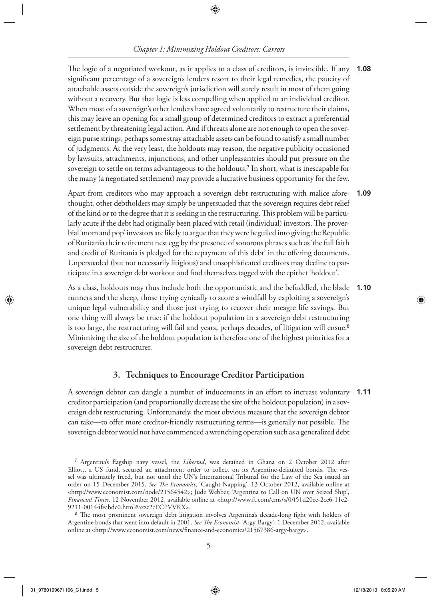◈

# *Chapter 1: Minimizing Holdout Creditors: Carrots*

The logic of a negotiated workout, as it applies to a class of creditors, is invincible. If any significant percentage of a sovereign's lenders resort to their legal remedies, the paucity of attachable assets outside the sovereign's jurisdiction will surely result in most of them going without a recovery. But that logic is less compelling when applied to an individual creditor. When most of a sovereign's other lenders have agreed voluntarily to restructure their claims, this may leave an opening for a small group of determined creditors to extract a preferential settlement by threatening legal action. And if threats alone are not enough to open the sovereign purse strings, perhaps some stray attachable assets can be found to satisfy a small number of judgments. At the very least, the holdouts may reason, the negative publicity occasioned by lawsuits, attachments, injunctions, and other unpleasantries should put pressure on the sovereign to settle on terms advantageous to the holdouts.<sup>7</sup> In short, what is inescapable for the many (a negotiated settlement) may provide a lucrative business opportunity for thefew. **1.08**

 Apart from creditors who may approach a sovereign debt restructuring with malice aforethought, other debtholders may simply be unpersuaded that the sovereign requires debt relief of the kind or to the degree that it is seeking in the restructuring. This problem will be particularly acute if the debt had originally been placed with retail (individual) investors. The proverbial 'mom and pop' investors are likely to argue that they were beguiled into giving the Republic of Ruritania their retirement nest egg by the presence of sonorous phrases such as 'the full faith and credit of Ruritania is pledged for the repayment of this debt' in the offering documents. Unpersuaded (but not necessarily litigious) and unsophisticated creditors may decline to participate in a sovereign debt workout and find themselves tagged with the epithet 'holdout'. **1.09**

 As a class, holdouts may thus include both the opportunistic and the befuddled, the blade runners and the sheep, those trying cynically to score a windfall by exploiting a sovereign's unique legal vulnerability and those just trying to recover their meagre life savings. But one thing will always be true: if the holdout population in a sovereign debt restructuring is too large, the restructuring will fail and years, perhaps decades, of litigation will ensue.<sup>8</sup> Minimizing the size of the holdout population is therefore one of the highest priorities for a sovereign debt restructurer. **1.10**

# **3. Techniques to Encourage Creditor Participation**

A sovereign debtor can dangle a number of inducements in an effort to increase voluntary **1.11** creditor participation (and proportionally decrease the size of the holdout population) in a sovereign debt restructuring. Unfortunately, the most obvious measure that the sovereign debtor can take—to offer more creditor-friendly restructuring terms—is generally not possible. The sovereign debtor would not have commenced a wrenching operation such as a generalized debt

01\_9780199671106\_C1.indd 5 12/18/2013 8:05:20 AM 2019 12/18/2013 8:05:20 AM

◈

<sup>&</sup>lt;sup>7</sup> Argentina's flagship navy vessel, the *Libertad*, was detained in Ghana on 2 October 2012 after Elliott, a US fund, secured an attachment order to collect on its Argentine-defaulted bonds. The vessel was ultimately freed, but not until the UN's International Tribunal for the Law of the Sea issued an order on 15 December 2015. See The Economist, 'Caught Napping', 13 October 2012, available online at < http://www.economist.com/node/21564542 >; Jude Webber, 'Argentina to Call on UN over Seized Ship', *Financial Times* , 12 November 2012, available online at < http://www.ft.com/cms/s/0/f51d20ee-2ce6-11e2- 9211-00144feabdc0.html#axzz2cECPVVKX>.

<sup>&</sup>lt;sup>8</sup> The most prominent sovereign debt litigation involves Argentina's decade-long fight with holders of Argentine bonds that went into default in 2001. *See T e Economist* , 'Argy-Bargy', 1 December 2012, available online at <http://www.economist.com/news/finance-and-economics/21567386-argy-bargy>.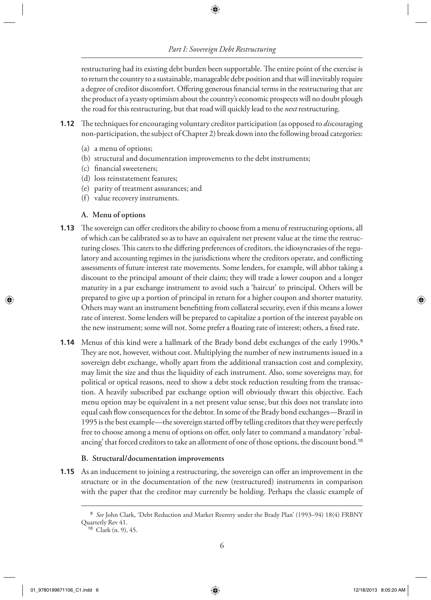◈

restructuring had its existing debt burden been supportable. The entire point of the exercise is to return the country to a sustainable, manageable debt position and that will inevitably require a degree of creditor discomfort. Offering generous financial terms in the restructuring that are the product of a yeasty optimism about the country's economic prospects will no doubt plough the road for this restructuring, but that road will quickly lead to the *next* restructuring.

- **1.12** The techniques for encouraging voluntary creditor participation (as opposed to *dis*couraging non-participation, the subject of Chapter 2) break down into the following broad categories:
	- (a) a menu of options;
	- (b) structural and documentation improvements to the debt instruments;
	- (c) financial sweeteners;
	- (d) loss reinstatement features;
	- (e) parity of treatment assurances; and
	- (f) value recovery instruments.

#### **A. Menu of options**

- **1.13** The sovereign can offer creditors the ability to choose from a menu of restructuring options, all of which can be calibrated so as to have an equivalent net present value at the time the restructuring closes. This caters to the differing preferences of creditors, the idiosyncrasies of the regulatory and accounting regimes in the jurisdictions where the creditors operate, and conflicting assessments of future interest rate movements. Some lenders, for example, will abhor taking a discount to the principal amount of their claim; they will trade a lower coupon and a longer maturity in a par exchange instrument to avoid such a 'haircut' to principal. Others will be prepared to give up a portion of principal in return for a higher coupon and shorter maturity. Others may want an instrument benefitting from collateral security, even if this means a lower rate of interest. Some lenders will be prepared to capitalize a portion of the interest payable on the new instrument; some will not. Some prefer a floating rate of interest; others, a fixed rate.
- **1.14** Menus of this kind were a hallmark of the Brady bond debt exchanges of the early 1990s.<sup>9</sup> They are not, however, without cost. Multiplying the number of new instruments issued in a sovereign debt exchange, wholly apart from the additional transaction cost and complexity, may limit the size and thus the liquidity of each instrument. Also, some sovereigns may, for political or optical reasons, need to show a debt stock reduction resulting from the transaction. A heavily subscribed par exchange option will obviously thwart this objective. Each menu option may be equivalent in a net present value sense, but this does not translate into equal cash flow consequences for the debtor. In some of the Brady bond exchanges—Brazil in 1995 is the best example—the sovereign started of by telling creditors that they were perfectly free to choose among a menu of options on offer, only later to command a mandatory 'rebalancing' that forced creditors to take an allotment of one of those options, the discount bond. <sup>10</sup>

#### **B. Structural/documentation improvements**

**1.15** As an inducement to joining a restructuring, the sovereign can offer an improvement in the structure or in the documentation of the new (restructured) instruments in comparison with the paper that the creditor may currently be holding. Perhaps the classic example of

<sup>9</sup> *See* John Clark, 'Debt Reduction and Market Reentry under the Brady Plan' (1993–94) 18(4) FRBNY Quarterly Rev 41.

<sup>10</sup> Clark (n. 9), 45.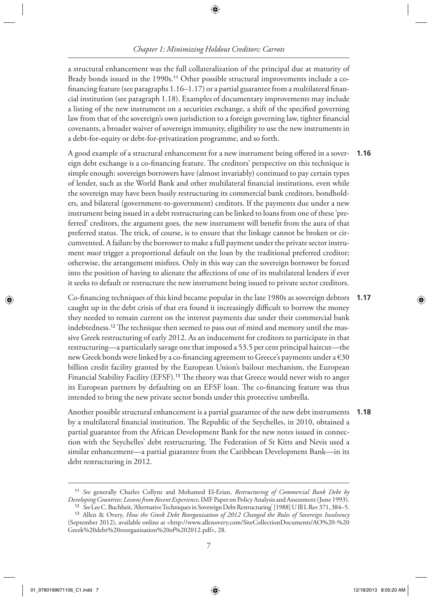## ⊕

# *Chapter 1: Minimizing Holdout Creditors: Carrots*

a structural enhancement was the full collateralization of the principal due at maturity of Brady bonds issued in the 1990s.<sup>11</sup> Other possible structural improvements include a cofinancing feature (see paragraphs  $1.16-1.17$ ) or a partial guarantee from a multilateral financial institution (see paragraph 1.18). Examples of documentary improvements may include a listing of the new instrument on a securities exchange, a shift of the specified governing law from that of the sovereign's own jurisdiction to a foreign governing law, tighter financial covenants, a broader waiver of sovereign immunity, eligibility to use the new instruments in a debt-for-equity or debt-for-privatization programme, and so forth.

A good example of a structural enhancement for a new instrument being offered in a sovereign debt exchange is a co-financing feature. The creditors' perspective on this technique is simple enough: sovereign borrowers have (almost invariably) continued to pay certain types of lender, such as the World Bank and other multilateral financial institutions, even while the sovereign may have been busily restructuring its commercial bank creditors, bondholders, and bilateral (government-to-government) creditors. If the payments due under a new instrument being issued in a debt restructuring can be linked to loans from one of these 'preferred' creditors, the argument goes, the new instrument will benefit from the aura of that preferred status. The trick, of course, is to ensure that the linkage cannot be broken or circumvented. A failure by the borrower to make a full payment under the private sector instrument *must* trigger a proportional default on the loan by the traditional preferred creditor; otherwise, the arrangement misfires. Only in this way can the sovereign borrower be forced into the position of having to alienate the affections of one of its multilateral lenders if ever it seeks to default or restructure the new instrument being issued to private sector creditors. **1.16**

Co-financing techniques of this kind became popular in the late 1980s as sovereign debtors caught up in the debt crisis of that era found it increasingly difficult to borrow the money they needed to remain current on the interest payments due under their commercial bank indebtedness.<sup>12</sup> The technique then seemed to pass out of mind and memory until the massive Greek restructuring of early 2012. As an inducement for creditors to participate in that restructuring—a particularly savage one that imposed a 53.5 per cent principal haircut—the new Greek bonds were linked by a co-financing agreement to Greece's payments under a  $\epsilon$ 30 billion credit facility granted by the European Union's bailout mechanism, the European Financial Stability Facility (EFSF).<sup>13</sup> The theory was that Greece would never wish to anger its European partners by defaulting on an EFSF loan. The co-financing feature was thus intended to bring the new private sector bonds under this protective umbrella. **1.17**

 Another possible structural enhancement is a partial guarantee of the new debt instruments **1.18** by a multilateral financial institution. The Republic of the Seychelles, in 2010, obtained a partial guarantee from the African Development Bank for the new notes issued in connection with the Seychelles' debt restructuring. The Federation of St Kitts and Nevis used a similar enhancement—a partial guarantee from the Caribbean Development Bank—in its debt restructuring in 2012.

◈

<sup>11</sup> *See* generally Charles Collyns and Mohamed El-Erian, *Restructuring of Commercial Bank Debt by Developing Countries: Lessons from Recent Experience* , IMF Paper on Policy Analysis and Assessment (June 1993). 12 *See* Lee C.Buchheit, 'Alternative Techniques in Sovereign Debt Restructuring' [1988] U Ill L Rev 371, 384–5.

<sup>13</sup> Allen & Overy, *How the Greek Debt Reorganisation of 2012 Changed the Rules of Sovereign Insolvency* (September 2012), available online at < http://www.allenovery.com/SiteCollectionDocuments/AO%20-%20 Greek%20debt%20reorganisation%20of%202012.pdf>, 28.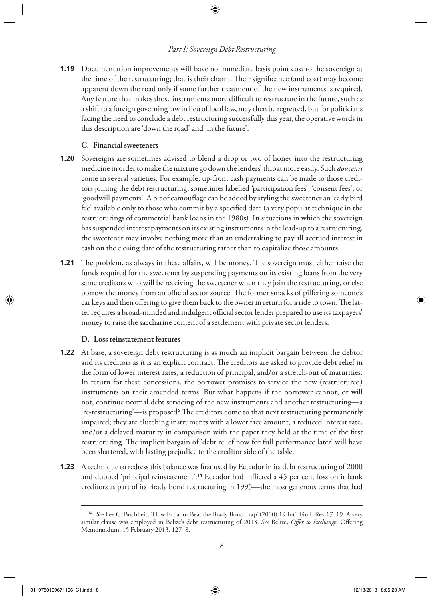#### *Part I: Sovereign Debt Restructuring*

⊕

**1.19** Documentation improvements will have no immediate basis point cost to the sovereign at the time of the restructuring; that is their charm. Their significance (and cost) may become apparent down the road only if some further treatment of the new instruments is required. Any feature that makes those instruments more difficult to restructure in the future, such as a shift to a foreign governing law in lieu of local law, may then be regretted, but for politicians facing the need to conclude a debt restructuring successfully this year, the operative words in this description are 'down the road' and 'in the future'.

#### **C. Financial sweeteners**

- **1.20** Sovereigns are sometimes advised to blend a drop or two of honey into the restructuring medicine in order to make the mixture go down the lenders' throat more easily. Such *douceurs* come in several varieties. For example, up-front cash payments can be made to those creditors joining the debt restructuring, sometimes labelled 'participation fees', 'consent fees', or 'goodwill payments'. A bit of camouflage can be added by styling the sweetener an 'early bird fee' available only to those who commit by a specified date (a very popular technique in the restructurings of commercial bank loans in the 1980s). In situations in which the sovereign has suspended interest payments on its existing instruments in the lead-up to a restructuring, the sweetener may involve nothing more than an undertaking to pay all accrued interest in cash on the closing date of the restructuring rather than to capitalize those amounts.
- **1.21** The problem, as always in these affairs, will be money. The sovereign must either raise the funds required for the sweetener by suspending payments on its existing loans from the very same creditors who will be receiving the sweetener when they join the restructuring, or else borrow the money from an official sector source. The former smacks of pilfering someone's car keys and then offering to give them back to the owner in return for a ride to town. The latter requires a broad-minded and indulgent official sector lender prepared to use its taxpayers' money to raise the saccharine content of a settlement with private sector lenders.

#### **D. Loss reinstatement features**

- **1.22** At base, a sovereign debt restructuring is as much an implicit bargain between the debtor and its creditors as it is an explicit contract. The creditors are asked to provide debt relief in the form of lower interest rates, a reduction of principal, and/or a stretch-out of maturities. In return for these concessions, the borrower promises to service the new (restructured) instruments on their amended terms. But what happens if the borrower cannot, or will not, continue normal debt servicing of the new instruments and another restructuring—a 're-restructuring'—is proposed? The creditors come to that next restructuring permanently impaired; they are clutching instruments with a lower face amount, a reduced interest rate, and/or a delayed maturity in comparison with the paper they held at the time of the first restructuring. The implicit bargain of 'debt relief now for full performance later' will have been shattered, with lasting prejudice to the creditor side of the table.
- **1.23** A technique to redress this balance was first used by Ecuador in its debt restructuring of 2000 and dubbed 'principal reinstatement'.<sup>14</sup> Ecuador had inflicted a 45 per cent loss on it bank creditors as part of its Brady bond restructuring in 1995—the most generous terms that had

<sup>14</sup> *See* Lee C. Buchheit, 'How Ecuador Beat the Brady Bond Trap' (2000) 19 Int'l Fin L Rev 17, 19. A very similar clause was employed in Belize's debt restructuring of 2013. See Belize, Offer to Exchange, Offering Memorandum, 15 February 2013, 127–8.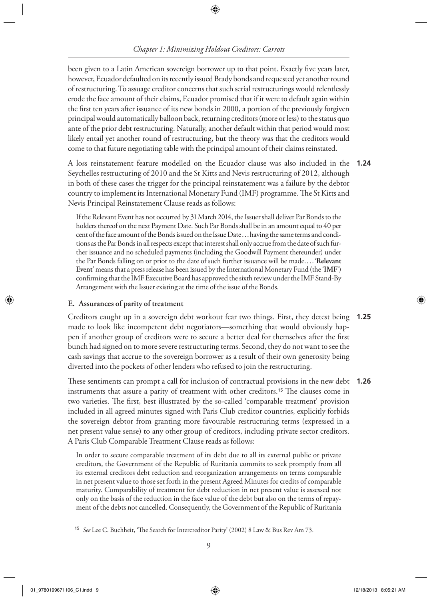*Chapter 1: Minimizing Holdout Creditors: Carrots*

◈

been given to a Latin American sovereign borrower up to that point. Exactly five years later, however, Ecuador defaulted on its recently issued Brady bonds and requested yet another round of restructuring. To assuage creditor concerns that such serial restructurings would relentlessly erode the face amount of their claims, Ecuador promised that if it were to default again within the first ten years after issuance of its new bonds in 2000, a portion of the previously forgiven principal would automatically balloon back, returning creditors (more or less) to the status quo ante of the prior debt restructuring. Naturally, another default within that period would most likely entail yet another round of restructuring, but the theory was that the creditors would come to that future negotiating table with the principal amount of their claims reinstated.

 A loss reinstatement feature modelled on the Ecuador clause was also included in the **1.24** Seychelles restructuring of 2010 and the St Kitts and Nevis restructuring of 2012, although in both of these cases the trigger for the principal reinstatement was a failure by the debtor country to implement its International Monetary Fund (IMF) programme. The St Kitts and Nevis Principal Reinstatement Clause reads as follows:

 If the Relevant Event has not occurred by 31 March 2014, the Issuer shall deliver Par Bonds to the holders thereof on the next Payment Date. Such Par Bonds shall be in an amount equal to 40 per cent of the face amount of the Bonds issued on the Issue Date . . . having the same terms and conditions as the Par Bonds in all respects except that interest shall only accrue from the date of such further issuance and no scheduled payments (including the Goodwill Payment thereunder) under the Par Bonds falling on or prior to the date of such further issuance will be made. . . . ' **Relevant**  Event' means that a press release has been issued by the International Monetary Fund (the 'IMF') confirming that the IMF Executive Board has approved the sixth review under the IMF Stand-By Arrangement with the Issuer existing at the time of the issue of the Bonds.

#### **E. Assurances of parity of treatment**

 Creditors caught up in a sovereign debt workout fear two things. First, they detest being **1.25** made to look like incompetent debt negotiators—something that would obviously happen if another group of creditors were to secure a better deal for themselves after the first bunch had signed on to more severe restructuring terms. Second, they do not want to see the cash savings that accrue to the sovereign borrower as a result of their own generosity being diverted into the pockets of other lenders who refused to join the restructuring.

These sentiments can prompt a call for inclusion of contractual provisions in the new debt instruments that assure a parity of treatment with other creditors.<sup>15</sup> The clauses come in two varieties. The first, best illustrated by the so-called 'comparable treatment' provision included in all agreed minutes signed with Paris Club creditor countries, explicitly forbids the sovereign debtor from granting more favourable restructuring terms (expressed in a net present value sense) to any other group of creditors, including private sector creditors. A Paris Club Comparable Treatment Clause reads as follows: **1.26**

 In order to secure comparable treatment of its debt due to all its external public or private creditors, the Government of the Republic of Ruritania commits to seek promptly from all its external creditors debt reduction and reorganization arrangements on terms comparable in net present value to those set forth in the present Agreed Minutes for credits of comparable maturity. Comparability of treatment for debt reduction in net present value is assessed not only on the basis of the reduction in the face value of the debt but also on the terms of repayment of the debts not cancelled. Consequently, the Government of the Republic of Ruritania

<sup>&</sup>lt;sup>15</sup> *See* Lee C. Buchheit, 'The Search for Intercreditor Parity' (2002) 8 Law & Bus Rev Am 73.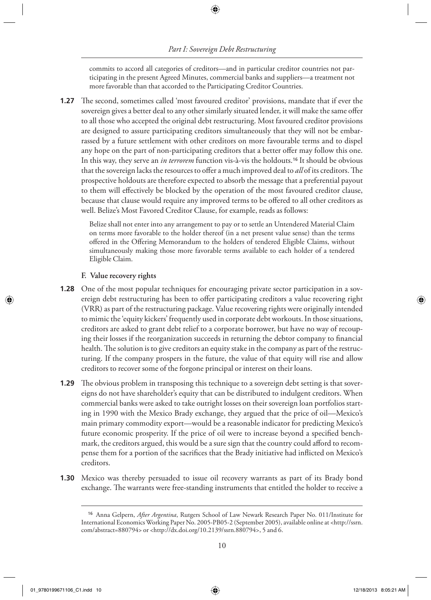⊕

commits to accord all categories of creditors—and in particular creditor countries not participating in the present Agreed Minutes, commercial banks and suppliers—a treatment not more favorable than that accorded to the Participating Creditor Countries.

**1.27** The second, sometimes called 'most favoured creditor' provisions, mandate that if ever the sovereign gives a better deal to any other similarly situated lender, it will make the same offer to all those who accepted the original debt restructuring. Most favoured creditor provisions are designed to assure participating creditors simultaneously that they will not be embarrassed by a future settlement with other creditors on more favourable terms and to dispel any hope on the part of non-participating creditors that a better offer may follow this one. In this way, they serve an *in terrorem* function vis-à-vis the holdouts. 16 It should be obvious that the sovereign lacks the resources to offer a much improved deal to *all* of its creditors. The prospective holdouts are therefore expected to absorb the message that a preferential payout to them will effectively be blocked by the operation of the most favoured creditor clause, because that clause would require any improved terms to be offered to all other creditors as well. Belize's Most Favored Creditor Clause, for example, reads as follows:

 Belize shall not enter into any arrangement to pay or to settle an Untendered Material Claim on terms more favorable to the holder thereof (in a net present value sense) than the terms offered in the Offering Memorandum to the holders of tendered Eligible Claims, without simultaneously making those more favorable terms available to each holder of a tendered Eligible Claim.

#### **F. Value recovery rights**

- **1.28** One of the most popular techniques for encouraging private sector participation in a sovereign debt restructuring has been to offer participating creditors a value recovering right (VRR) as part of the restructuring package. Value recovering rights were originally intended to mimic the 'equity kickers' frequently used in corporate debt workouts. In those situations, creditors are asked to grant debt relief to a corporate borrower, but have no way of recouping their losses if the reorganization succeeds in returning the debtor company to financial health. The solution is to give creditors an equity stake in the company as part of the restructuring. If the company prospers in the future, the value of that equity will rise and allow creditors to recover some of the forgone principal or interest on their loans.
- **1.29** The obvious problem in transposing this technique to a sovereign debt setting is that sovereigns do not have shareholder's equity that can be distributed to indulgent creditors. When commercial banks were asked to take outright losses on their sovereign loan portfolios starting in 1990 with the Mexico Brady exchange, they argued that the price of oil—Mexico's main primary commodity export—would be a reasonable indicator for predicting Mexico's future economic prosperity. If the price of oil were to increase beyond a specified benchmark, the creditors argued, this would be a sure sign that the country could afford to recompense them for a portion of the sacrifices that the Brady initiative had inflicted on Mexico's creditors.
- **1.30** Mexico was thereby persuaded to issue oil recovery warrants as part of its Brady bond exchange. The warrants were free-standing instruments that entitled the holder to receive a

<sup>&</sup>lt;sup>16</sup> Anna Gelpern, *After Argentina*, Rutgers School of Law Newark Research Paper No. 011/Institute for International Economics Working Paper No. 2005-PB05-2 (September 2005), available online at < http://ssrn. com/abstract=880794> or <http://dx.doi.org/10.2139/ssrn.880794>, 5 and 6.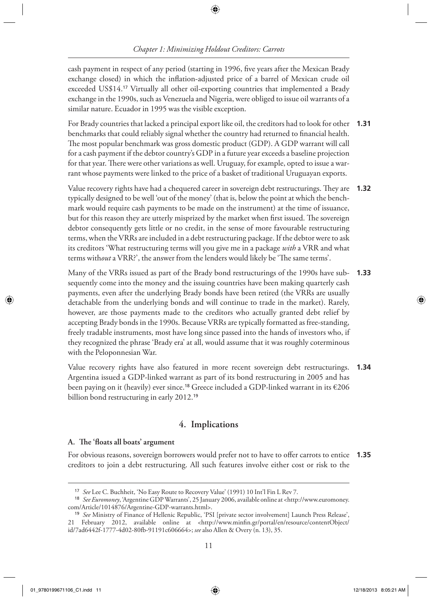# *Chapter 1: Minimizing Holdout Creditors: Carrots*

◈

cash payment in respect of any period (starting in 1996, five years after the Mexican Brady exchange closed) in which the inflation-adjusted price of a barrel of Mexican crude oil exceeded US\$14.<sup>17</sup> Virtually all other oil-exporting countries that implemented a Brady exchange in the 1990s, such as Venezuela and Nigeria, were obliged to issue oil warrants of a similar nature. Ecuador in 1995 was the visible exception.

 For Brady countries that lacked a principal export like oil, the creditors had to look for other **1.31** benchmarks that could reliably signal whether the country had returned to financial health. The most popular benchmark was gross domestic product (GDP). A GDP warrant will call for a cash payment if the debtor country's GDP in a future year exceeds a baseline projection for that year. There were other variations as well. Uruguay, for example, opted to issue a warrant whose payments were linked to the price of a basket of traditional Uruguayan exports.

Value recovery rights have had a chequered career in sovereign debt restructurings. They are **1.32** typically designed to be well 'out of the money' (that is, below the point at which the benchmark would require cash payments to be made on the instrument) at the time of issuance, but for this reason they are utterly misprized by the market when first issued. The sovereign debtor consequently gets little or no credit, in the sense of more favourable restructuring terms, when the VRRs are included in a debt restructuring package. If the debtor were to ask its creditors 'What restructuring terms will you give me in a package *with* a VRR and what terms without a VRR?', the answer from the lenders would likely be 'The same terms'.

 Many of the VRRs issued as part of the Brady bond restructurings of the 1990s have subsequently come into the money and the issuing countries have been making quarterly cash payments, even after the underlying Brady bonds have been retired (the VRRs are usually detachable from the underlying bonds and will continue to trade in the market). Rarely, however, are those payments made to the creditors who actually granted debt relief by accepting Brady bonds in the 1990s. Because VRRs are typically formatted as free-standing, freely tradable instruments, most have long since passed into the hands of investors who, if they recognized the phrase 'Brady era' at all, would assume that it was roughly coterminous with the Peloponnesian War. **1.33**

 Value recovery rights have also featured in more recent sovereign debt restructurings. Argentina issued a GDP-linked warrant as part of its bond restructuring in 2005 and has been paying on it (heavily) ever since. 18 Greece included a GDP-linked warrant in its €206 billion bond restructuring in early 2012.<sup>19</sup> **1.34**

# **4. Implications**

#### **A. T e 'f oats all boats' argument**

For obvious reasons, sovereign borrowers would prefer not to have to offer carrots to entice **1.35** creditors to join a debt restructuring. All such features involve either cost or risk to the

◈

<sup>17</sup> *See* Lee C. Buchheit, 'No Easy Route to Recovery Value' (1991) 10 Int'l Fin L Rev 7.

<sup>18</sup> *See Euromoney* , 'Argentine GDP Warrants', 25 January 2006, available online at < http://www.euromoney. com/Article/1014876/Argentine-GDP-warrants.html>.

<sup>19</sup> *See* Ministry of Finance of Hellenic Republic, 'PSI [private sector involvement] Launch Press Release', 21 February 2012, available online at <http://www.minfin.gr/portal/en/resource/contentObject/ id/7ad6442f-1777-4d02-80fb-91191c606664 >; *see* also Allen & Overy (n. 13), 35.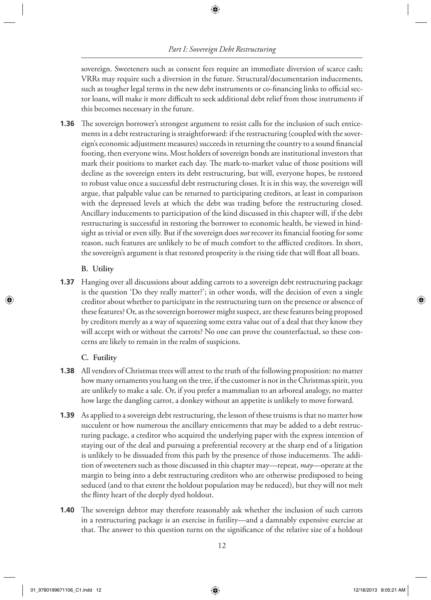# *Part I: Sovereign Debt Restructuring*

◈

sovereign. Sweeteners such as consent fees require an immediate diversion of scarce cash; VRRs may require such a diversion in the future. Structural/documentation inducements, such as tougher legal terms in the new debt instruments or co-financing links to official sector loans, will make it more difficult to seek additional debt relief from those instruments if this becomes necessary in the future.

**1.36** The sovereign borrower's strongest argument to resist calls for the inclusion of such enticements in a debt restructuring is straightforward: if the restructuring (coupled with the sovereign's economic adjustment measures) succeeds in returning the country to a sound financial footing, then everyone wins. Most holders of sovereign bonds are institutional investors that mark their positions to market each day. The mark-to-market value of those positions will decline as the sovereign enters its debt restructuring, but will, everyone hopes, be restored to robust value once a successful debt restructuring closes. It is in this way, the sovereign will argue, that palpable value can be returned to participating creditors, at least in comparison with the depressed levels at which the debt was trading before the restructuring closed. Ancillary inducements to participation of the kind discussed in this chapter will, if the debt restructuring is successful in restoring the borrower to economic health, be viewed in hindsight as trivial or even silly. But if the sovereign does *not* recover its financial footing for some reason, such features are unlikely to be of much comfort to the afflicted creditors. In short, the sovereign's argument is that restored prosperity is the rising tide that will float all boats.

#### **B. Utility**

◈

 Hanging over all discussions about adding carrots to a sovereign debt restructuring package **1.37** is the question 'Do they really matter?'; in other words, will the decision of even a single creditor about whether to participate in the restructuring turn on the presence or absence of these features? Or, as the sovereign borrower might suspect, are these features being proposed by creditors merely as a way of squeezing some extra value out of a deal that they know they will accept with or without the carrots? No one can prove the counterfactual, so these concerns are likely to remain in the realm of suspicions.

#### **C. Futility**

- **1.38** All vendors of Christmas trees will attest to the truth of the following proposition: no matter how many ornaments you hang on the tree, if the customer is not in the Christmas spirit, you are unlikely to make a sale. Or, if you prefer a mammalian to an arboreal analogy, no matter how large the dangling carrot, a donkey without an appetite is unlikely to move forward.
- As applied to a sovereign debt restructuring, the lesson of these truisms is that no matter how **1.39** succulent or how numerous the ancillary enticements that may be added to a debt restructuring package, a creditor who acquired the underlying paper with the express intention of staying out of the deal and pursuing a preferential recovery at the sharp end of a litigation is unlikely to be dissuaded from this path by the presence of those inducements. The addition of sweeteners such as those discussed in this chapter may—repeat, *may* —operate at the margin to bring into a debt restructuring creditors who are otherwise predisposed to being seduced (and to that extent the holdout population may be reduced), but they will not melt the flinty heart of the deeply dyed holdout.
- **1.40** The sovereign debtor may therefore reasonably ask whether the inclusion of such carrots in a restructuring package is an exercise in futility—and a damnably expensive exercise at that. The answer to this question turns on the significance of the relative size of a holdout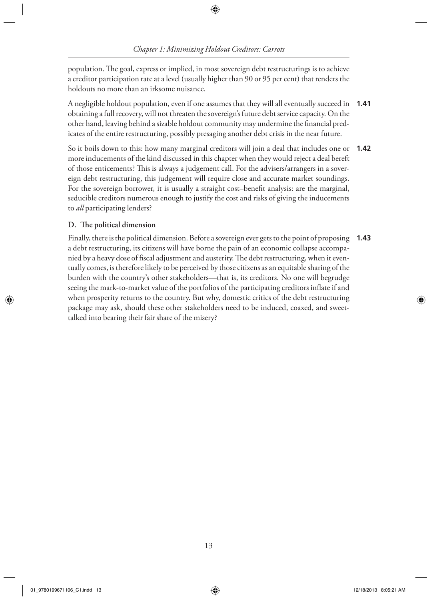◈

population. The goal, express or implied, in most sovereign debt restructurings is to achieve a creditor participation rate at a level (usually higher than 90 or 95 per cent) that renders the holdouts no more than an irksome nuisance.

 A negligible holdout population, even if one assumes that they will all eventually succeed in obtaining a full recovery, will not threaten the sovereign's future debt service capacity. On the other hand, leaving behind a sizable holdout community may undermine the financial predicates of the entire restructuring, possibly presaging another debt crisis in the near future. **1.41**

 So it boils down to this: how many marginal creditors will join a deal that includes one or **1.42** more inducements of the kind discussed in this chapter when they would reject a deal bereft of those enticements? This is always a judgement call. For the advisers/arrangers in a sovereign debt restructuring, this judgement will require close and accurate market soundings. For the sovereign borrower, it is usually a straight cost–benefit analysis: are the marginal, seducible creditors numerous enough to justify the cost and risks of giving the inducements to *all* participating lenders?

#### **D. T e political dimension**

 Finally, there is the political dimension. Before a sovereign ever gets to the point of proposing a debt restructuring, its citizens will have borne the pain of an economic collapse accompanied by a heavy dose of fiscal adjustment and austerity. The debt restructuring, when it eventually comes, is therefore likely to be perceived by those citizens as an equitable sharing of the burden with the country's other stakeholders—that is, its creditors. No one will begrudge seeing the mark-to-market value of the portfolios of the participating creditors inflate if and when prosperity returns to the country. But why, domestic critics of the debt restructuring package may ask, should these other stakeholders need to be induced, coaxed, and sweettalked into bearing their fair share of the misery? **1.43**

◈